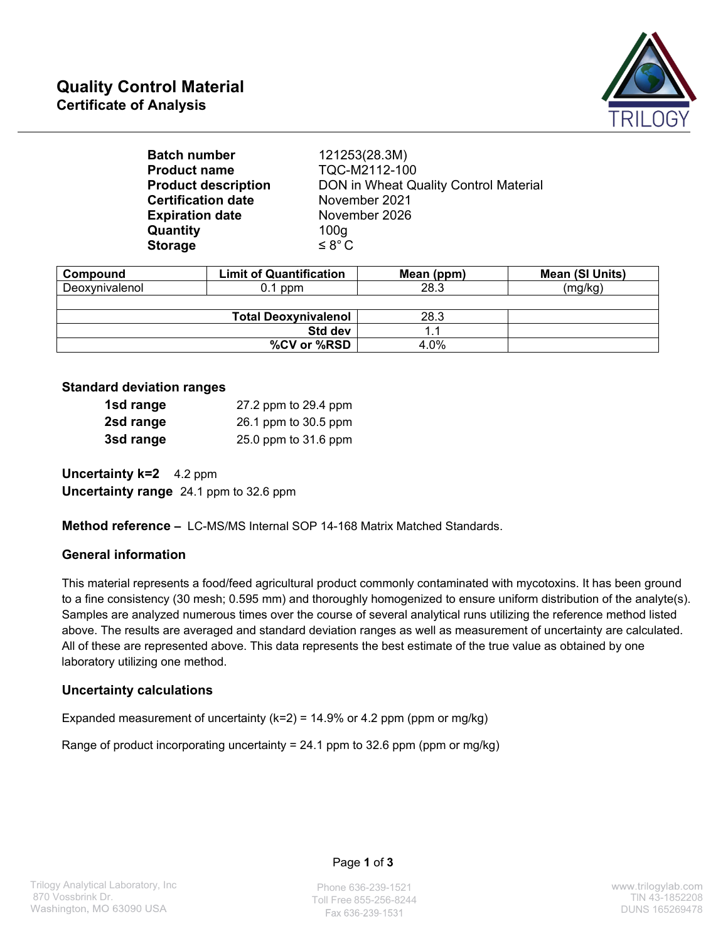

| <b>Batch number</b>        | 121253(28.3M)                         |
|----------------------------|---------------------------------------|
| <b>Product name</b>        | TQC-M2112-100                         |
| <b>Product description</b> | DON in Wheat Quality Control Material |
| <b>Certification date</b>  | November 2021                         |
| <b>Expiration date</b>     | November 2026                         |
| Quantity                   | 100 <sub>g</sub>                      |
| <b>Storage</b>             | $\leq 8^{\circ}$ C                    |
|                            |                                       |

| Compound       | <b>Limit of Quantification</b> | Mean (ppm) | Mean (SI Units) |
|----------------|--------------------------------|------------|-----------------|
| Deoxynivalenol | $0.1$ ppm                      | 28.3       | (mg/kg)         |
|                |                                |            |                 |
|                | <b>Total Deoxynivalenol</b>    | 28.3       |                 |
|                | Std dev                        |            |                 |
|                | %CV or %RSD                    | 4.0%       |                 |

#### **Standard deviation ranges**

| 1sd range | 27.2 ppm to 29.4 ppm |
|-----------|----------------------|
| 2sd range | 26.1 ppm to 30.5 ppm |
| 3sd range | 25.0 ppm to 31.6 ppm |

**Uncertainty k=2** 4.2 ppm **Uncertainty range** 24.1 ppm to 32.6 ppm

**Method reference –** LC-MS/MS Internal SOP 14-168 Matrix Matched Standards.

## **General information**

This material represents a food/feed agricultural product commonly contaminated with mycotoxins. It has been ground to a fine consistency (30 mesh; 0.595 mm) and thoroughly homogenized to ensure uniform distribution of the analyte(s). Samples are analyzed numerous times over the course of several analytical runs utilizing the reference method listed above. The results are averaged and standard deviation ranges as well as measurement of uncertainty are calculated. All of these are represented above. This data represents the best estimate of the true value as obtained by one laboratory utilizing one method.

## **Uncertainty calculations**

Expanded measurement of uncertainty ( $k=2$ ) = 14.9% or 4.2 ppm (ppm or mg/kg)

Range of product incorporating uncertainty = 24.1 ppm to 32.6 ppm (ppm or mg/kg)

#### Page **1** of **3**

Phone 636-239-1521 Toll Free 855-256-8244 Times 355-256-8244 Fax 636-239-1531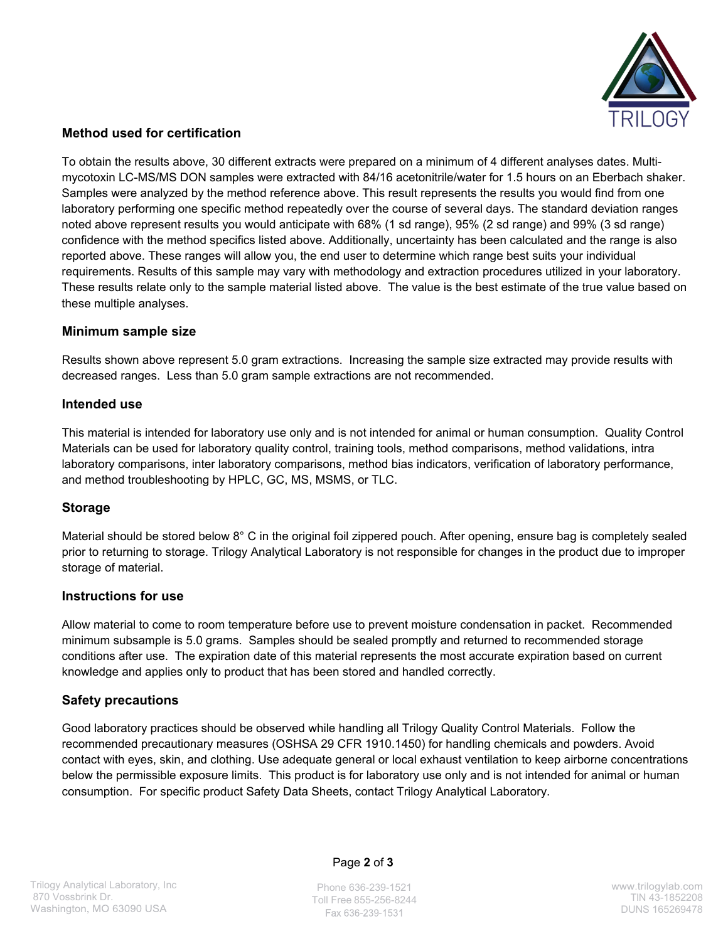

# **Method used for certification**

To obtain the results above, 30 different extracts were prepared on a minimum of 4 different analyses dates. Multimycotoxin LC-MS/MS DON samples were extracted with 84/16 acetonitrile/water for 1.5 hours on an Eberbach shaker. Samples were analyzed by the method reference above. This result represents the results you would find from one laboratory performing one specific method repeatedly over the course of several days. The standard deviation ranges noted above represent results you would anticipate with 68% (1 sd range), 95% (2 sd range) and 99% (3 sd range) confidence with the method specifics listed above. Additionally, uncertainty has been calculated and the range is also reported above. These ranges will allow you, the end user to determine which range best suits your individual requirements. Results of this sample may vary with methodology and extraction procedures utilized in your laboratory. These results relate only to the sample material listed above. The value is the best estimate of the true value based on these multiple analyses.

#### **Minimum sample size**

Results shown above represent 5.0 gram extractions. Increasing the sample size extracted may provide results with decreased ranges. Less than 5.0 gram sample extractions are not recommended.

#### **Intended use**

This material is intended for laboratory use only and is not intended for animal or human consumption. Quality Control Materials can be used for laboratory quality control, training tools, method comparisons, method validations, intra laboratory comparisons, inter laboratory comparisons, method bias indicators, verification of laboratory performance, and method troubleshooting by HPLC, GC, MS, MSMS, or TLC.

## **Storage**

Material should be stored below 8° C in the original foil zippered pouch. After opening, ensure bag is completely sealed prior to returning to storage. Trilogy Analytical Laboratory is not responsible for changes in the product due to improper storage of material.

#### **Instructions for use**

Allow material to come to room temperature before use to prevent moisture condensation in packet. Recommended minimum subsample is 5.0 grams. Samples should be sealed promptly and returned to recommended storage conditions after use. The expiration date of this material represents the most accurate expiration based on current knowledge and applies only to product that has been stored and handled correctly.

## **Safety precautions**

Good laboratory practices should be observed while handling all Trilogy Quality Control Materials. Follow the recommended precautionary measures (OSHSA 29 CFR 1910.1450) for handling chemicals and powders. Avoid contact with eyes, skin, and clothing. Use adequate general or local exhaust ventilation to keep airborne concentrations below the permissible exposure limits. This product is for laboratory use only and is not intended for animal or human consumption. For specific product Safety Data Sheets, contact Trilogy Analytical Laboratory.

Page **2** of **3**

Phone 636-239-1521 Toll Free 855-256-8244 TlN 43-1852208 Fax 636-239-1531